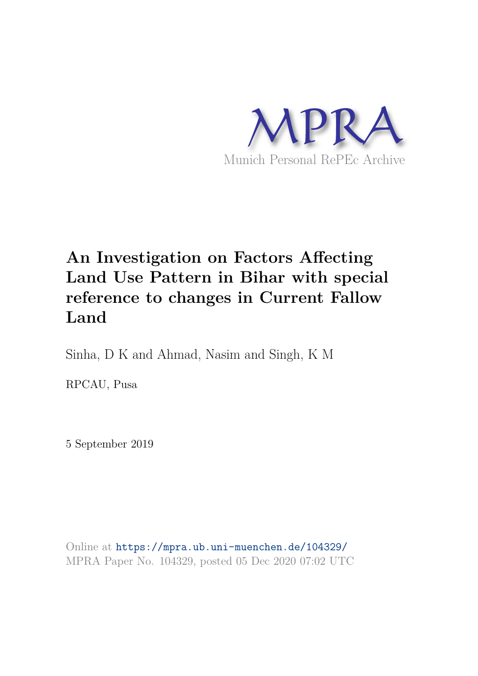

# **An Investigation on Factors Affecting Land Use Pattern in Bihar with special reference to changes in Current Fallow Land**

Sinha, D K and Ahmad, Nasim and Singh, K M

RPCAU, Pusa

5 September 2019

Online at https://mpra.ub.uni-muenchen.de/104329/ MPRA Paper No. 104329, posted 05 Dec 2020 07:02 UTC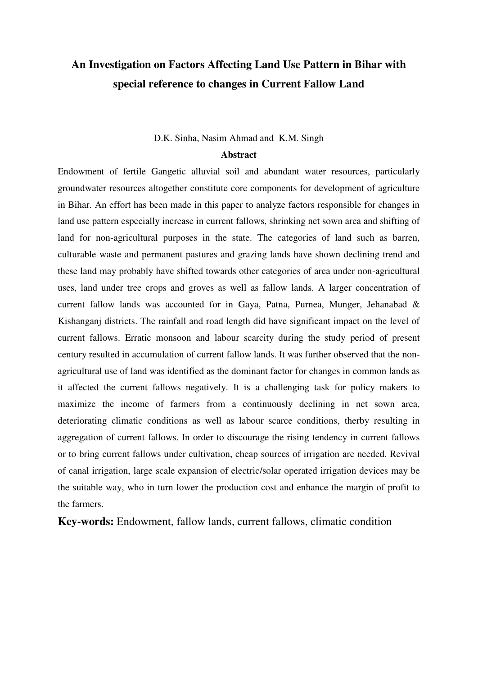## **An Investigation on Factors Affecting Land Use Pattern in Bihar with special reference to changes in Current Fallow Land**

#### D.K. Sinha, Nasim Ahmad and K.M. Singh

#### **Abstract**

Endowment of fertile Gangetic alluvial soil and abundant water resources, particularly groundwater resources altogether constitute core components for development of agriculture in Bihar. An effort has been made in this paper to analyze factors responsible for changes in land use pattern especially increase in current fallows, shrinking net sown area and shifting of land for non-agricultural purposes in the state. The categories of land such as barren, culturable waste and permanent pastures and grazing lands have shown declining trend and these land may probably have shifted towards other categories of area under non-agricultural uses, land under tree crops and groves as well as fallow lands. A larger concentration of current fallow lands was accounted for in Gaya, Patna, Purnea, Munger, Jehanabad & Kishanganj districts. The rainfall and road length did have significant impact on the level of current fallows. Erratic monsoon and labour scarcity during the study period of present century resulted in accumulation of current fallow lands. It was further observed that the nonagricultural use of land was identified as the dominant factor for changes in common lands as it affected the current fallows negatively. It is a challenging task for policy makers to maximize the income of farmers from a continuously declining in net sown area, deteriorating climatic conditions as well as labour scarce conditions, therby resulting in aggregation of current fallows. In order to discourage the rising tendency in current fallows or to bring current fallows under cultivation, cheap sources of irrigation are needed. Revival of canal irrigation, large scale expansion of electric/solar operated irrigation devices may be the suitable way, who in turn lower the production cost and enhance the margin of profit to the farmers.

**Key-words:** Endowment, fallow lands, current fallows, climatic condition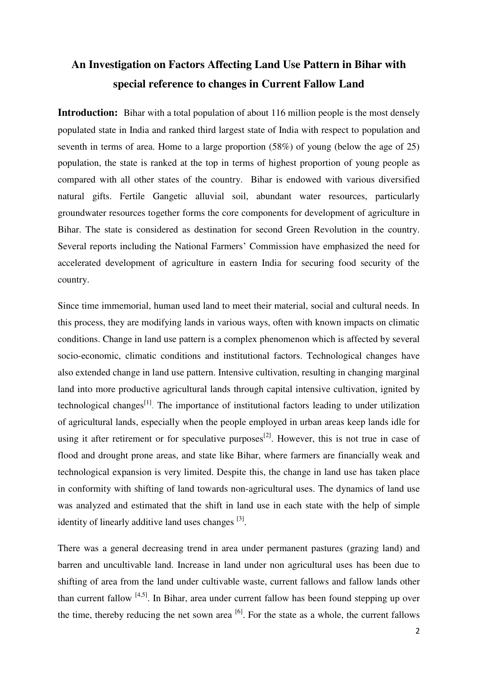## **An Investigation on Factors Affecting Land Use Pattern in Bihar with special reference to changes in Current Fallow Land**

**Introduction:** Bihar with a total population of about 116 million people is the most densely populated state in India and ranked third largest state of India with respect to population and seventh in terms of area. Home to a large proportion (58%) of young (below the age of 25) population, the state is ranked at the top in terms of highest proportion of young people as compared with all other states of the country. Bihar is endowed with various diversified natural gifts. Fertile Gangetic alluvial soil, abundant water resources, particularly groundwater resources together forms the core components for development of agriculture in Bihar. The state is considered as destination for second Green Revolution in the country. Several reports including the National Farmers' Commission have emphasized the need for accelerated development of agriculture in eastern India for securing food security of the country.

Since time immemorial, human used land to meet their material, social and cultural needs. In this process, they are modifying lands in various ways, often with known impacts on climatic conditions. Change in land use pattern is a complex phenomenon which is affected by several socio-economic, climatic conditions and institutional factors. Technological changes have also extended change in land use pattern. Intensive cultivation, resulting in changing marginal land into more productive agricultural lands through capital intensive cultivation, ignited by technological changes<sup>[1]</sup>. The importance of institutional factors leading to under utilization of agricultural lands, especially when the people employed in urban areas keep lands idle for using it after retirement or for speculative purposes<sup>[2]</sup>. However, this is not true in case of flood and drought prone areas, and state like Bihar, where farmers are financially weak and technological expansion is very limited. Despite this, the change in land use has taken place in conformity with shifting of land towards non-agricultural uses. The dynamics of land use was analyzed and estimated that the shift in land use in each state with the help of simple identity of linearly additive land uses changes <sup>[3]</sup>.

There was a general decreasing trend in area under permanent pastures (grazing land) and barren and uncultivable land. Increase in land under non agricultural uses has been due to shifting of area from the land under cultivable waste, current fallows and fallow lands other than current fallow <sup>[4,5]</sup>. In Bihar, area under current fallow has been found stepping up over the time, thereby reducing the net sown area  $\left[6\right]$ . For the state as a whole, the current fallows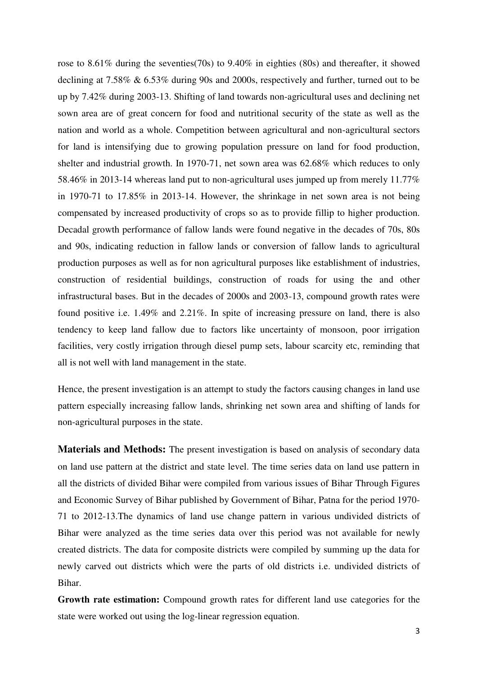rose to 8.61% during the seventies(70s) to 9.40% in eighties (80s) and thereafter, it showed declining at 7.58% & 6.53% during 90s and 2000s, respectively and further, turned out to be up by 7.42% during 2003-13. Shifting of land towards non-agricultural uses and declining net sown area are of great concern for food and nutritional security of the state as well as the nation and world as a whole. Competition between agricultural and non-agricultural sectors for land is intensifying due to growing population pressure on land for food production, shelter and industrial growth. In 1970-71, net sown area was 62.68% which reduces to only 58.46% in 2013-14 whereas land put to non-agricultural uses jumped up from merely 11.77% in 1970-71 to 17.85% in 2013-14. However, the shrinkage in net sown area is not being compensated by increased productivity of crops so as to provide fillip to higher production. Decadal growth performance of fallow lands were found negative in the decades of 70s, 80s and 90s, indicating reduction in fallow lands or conversion of fallow lands to agricultural production purposes as well as for non agricultural purposes like establishment of industries, construction of residential buildings, construction of roads for using the and other infrastructural bases. But in the decades of 2000s and 2003-13, compound growth rates were found positive i.e. 1.49% and 2.21%. In spite of increasing pressure on land, there is also tendency to keep land fallow due to factors like uncertainty of monsoon, poor irrigation facilities, very costly irrigation through diesel pump sets, labour scarcity etc, reminding that all is not well with land management in the state.

Hence, the present investigation is an attempt to study the factors causing changes in land use pattern especially increasing fallow lands, shrinking net sown area and shifting of lands for non-agricultural purposes in the state.

**Materials and Methods:** The present investigation is based on analysis of secondary data on land use pattern at the district and state level. The time series data on land use pattern in all the districts of divided Bihar were compiled from various issues of Bihar Through Figures and Economic Survey of Bihar published by Government of Bihar, Patna for the period 1970- 71 to 2012-13.The dynamics of land use change pattern in various undivided districts of Bihar were analyzed as the time series data over this period was not available for newly created districts. The data for composite districts were compiled by summing up the data for newly carved out districts which were the parts of old districts i.e. undivided districts of Bihar.

**Growth rate estimation:** Compound growth rates for different land use categories for the state were worked out using the log-linear regression equation.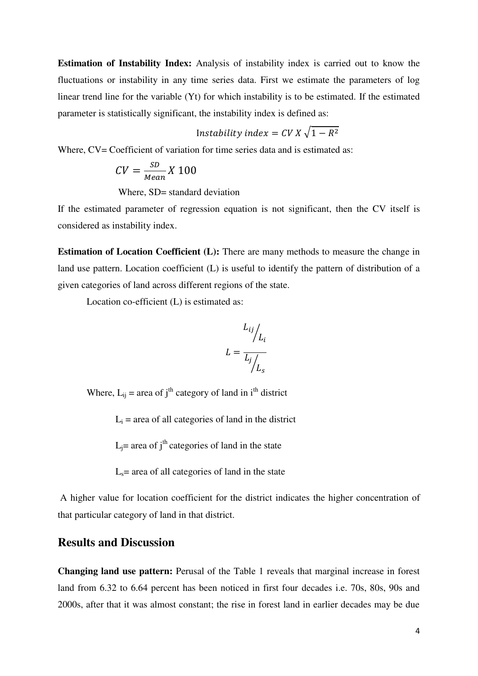**Estimation of Instability Index:** Analysis of instability index is carried out to know the fluctuations or instability in any time series data. First we estimate the parameters of log linear trend line for the variable (Yt) for which instability is to be estimated. If the estimated parameter is statistically significant, the instability index is defined as:

$$
Instability index = CV X \sqrt{1 - R^2}
$$

Where,  $CV = Coefficient$  of variation for time series data and is estimated as:

$$
CV = \frac{SD}{Mean} X 100
$$

Where, SD= standard deviation

If the estimated parameter of regression equation is not significant, then the CV itself is considered as instability index.

**Estimation of Location Coefficient (L):** There are many methods to measure the change in land use pattern. Location coefficient (L) is useful to identify the pattern of distribution of a given categories of land across different regions of the state.

Location co-efficient (L) is estimated as:

$$
L_{ij}\bigg/L_i
$$

$$
L = \frac{L_j}{L_j}\bigg/L_s
$$

Where,  $L_{ii}$  = area of j<sup>th</sup> category of land in i<sup>th</sup> district

 $L_i$  = area of all categories of land in the district

 $L_i$ = area of  $i<sup>th</sup>$  categories of land in the state

 $L<sub>s</sub>=$  area of all categories of land in the state

 A higher value for location coefficient for the district indicates the higher concentration of that particular category of land in that district.

#### **Results and Discussion**

**Changing land use pattern:** Perusal of the Table 1 reveals that marginal increase in forest land from 6.32 to 6.64 percent has been noticed in first four decades i.e. 70s, 80s, 90s and 2000s, after that it was almost constant; the rise in forest land in earlier decades may be due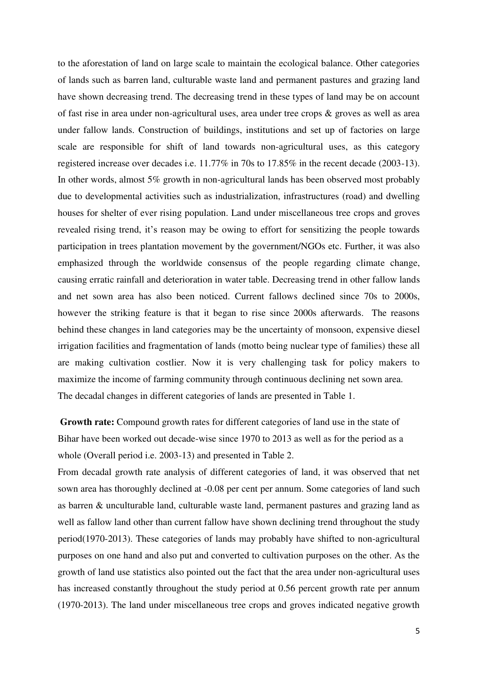to the aforestation of land on large scale to maintain the ecological balance. Other categories of lands such as barren land, culturable waste land and permanent pastures and grazing land have shown decreasing trend. The decreasing trend in these types of land may be on account of fast rise in area under non-agricultural uses, area under tree crops & groves as well as area under fallow lands. Construction of buildings, institutions and set up of factories on large scale are responsible for shift of land towards non-agricultural uses, as this category registered increase over decades i.e. 11.77% in 70s to 17.85% in the recent decade (2003-13). In other words, almost 5% growth in non-agricultural lands has been observed most probably due to developmental activities such as industrialization, infrastructures (road) and dwelling houses for shelter of ever rising population. Land under miscellaneous tree crops and groves revealed rising trend, it's reason may be owing to effort for sensitizing the people towards participation in trees plantation movement by the government/NGOs etc. Further, it was also emphasized through the worldwide consensus of the people regarding climate change, causing erratic rainfall and deterioration in water table. Decreasing trend in other fallow lands and net sown area has also been noticed. Current fallows declined since 70s to 2000s, however the striking feature is that it began to rise since 2000s afterwards. The reasons behind these changes in land categories may be the uncertainty of monsoon, expensive diesel irrigation facilities and fragmentation of lands (motto being nuclear type of families) these all are making cultivation costlier. Now it is very challenging task for policy makers to maximize the income of farming community through continuous declining net sown area. The decadal changes in different categories of lands are presented in Table 1.

**Growth rate:** Compound growth rates for different categories of land use in the state of Bihar have been worked out decade-wise since 1970 to 2013 as well as for the period as a whole (Overall period i.e. 2003-13) and presented in Table 2.

From decadal growth rate analysis of different categories of land, it was observed that net sown area has thoroughly declined at -0.08 per cent per annum. Some categories of land such as barren & unculturable land, culturable waste land, permanent pastures and grazing land as well as fallow land other than current fallow have shown declining trend throughout the study period(1970-2013). These categories of lands may probably have shifted to non-agricultural purposes on one hand and also put and converted to cultivation purposes on the other. As the growth of land use statistics also pointed out the fact that the area under non-agricultural uses has increased constantly throughout the study period at 0.56 percent growth rate per annum (1970-2013). The land under miscellaneous tree crops and groves indicated negative growth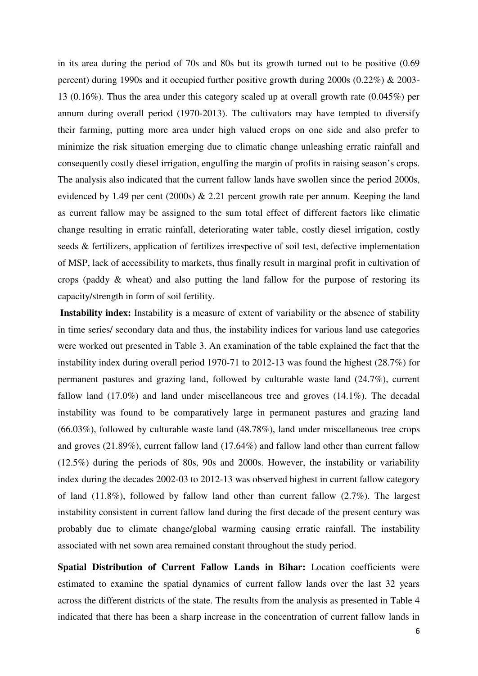in its area during the period of 70s and 80s but its growth turned out to be positive (0.69 percent) during 1990s and it occupied further positive growth during 2000s (0.22%) & 2003- 13 (0.16%). Thus the area under this category scaled up at overall growth rate (0.045%) per annum during overall period (1970-2013). The cultivators may have tempted to diversify their farming, putting more area under high valued crops on one side and also prefer to minimize the risk situation emerging due to climatic change unleashing erratic rainfall and consequently costly diesel irrigation, engulfing the margin of profits in raising season's crops. The analysis also indicated that the current fallow lands have swollen since the period 2000s, evidenced by 1.49 per cent (2000s) & 2.21 percent growth rate per annum. Keeping the land as current fallow may be assigned to the sum total effect of different factors like climatic change resulting in erratic rainfall, deteriorating water table, costly diesel irrigation, costly seeds & fertilizers, application of fertilizes irrespective of soil test, defective implementation of MSP, lack of accessibility to markets, thus finally result in marginal profit in cultivation of crops (paddy & wheat) and also putting the land fallow for the purpose of restoring its capacity/strength in form of soil fertility.

**Instability index:** Instability is a measure of extent of variability or the absence of stability in time series/ secondary data and thus, the instability indices for various land use categories were worked out presented in Table 3. An examination of the table explained the fact that the instability index during overall period 1970-71 to 2012-13 was found the highest (28.7%) for permanent pastures and grazing land, followed by culturable waste land (24.7%), current fallow land (17.0%) and land under miscellaneous tree and groves (14.1%). The decadal instability was found to be comparatively large in permanent pastures and grazing land (66.03%), followed by culturable waste land (48.78%), land under miscellaneous tree crops and groves (21.89%), current fallow land (17.64%) and fallow land other than current fallow (12.5%) during the periods of 80s, 90s and 2000s. However, the instability or variability index during the decades 2002-03 to 2012-13 was observed highest in current fallow category of land (11.8%), followed by fallow land other than current fallow (2.7%). The largest instability consistent in current fallow land during the first decade of the present century was probably due to climate change/global warming causing erratic rainfall. The instability associated with net sown area remained constant throughout the study period.

**Spatial Distribution of Current Fallow Lands in Bihar:** Location coefficients were estimated to examine the spatial dynamics of current fallow lands over the last 32 years across the different districts of the state. The results from the analysis as presented in Table 4 indicated that there has been a sharp increase in the concentration of current fallow lands in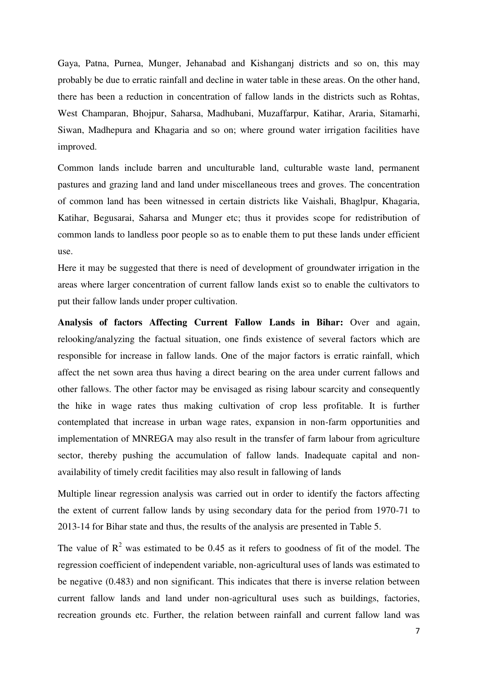Gaya, Patna, Purnea, Munger, Jehanabad and Kishanganj districts and so on, this may probably be due to erratic rainfall and decline in water table in these areas. On the other hand, there has been a reduction in concentration of fallow lands in the districts such as Rohtas, West Champaran, Bhojpur, Saharsa, Madhubani, Muzaffarpur, Katihar, Araria, Sitamarhi, Siwan, Madhepura and Khagaria and so on; where ground water irrigation facilities have improved.

Common lands include barren and unculturable land, culturable waste land, permanent pastures and grazing land and land under miscellaneous trees and groves. The concentration of common land has been witnessed in certain districts like Vaishali, Bhaglpur, Khagaria, Katihar, Begusarai, Saharsa and Munger etc; thus it provides scope for redistribution of common lands to landless poor people so as to enable them to put these lands under efficient use.

Here it may be suggested that there is need of development of groundwater irrigation in the areas where larger concentration of current fallow lands exist so to enable the cultivators to put their fallow lands under proper cultivation.

**Analysis of factors Affecting Current Fallow Lands in Bihar:** Over and again, relooking/analyzing the factual situation, one finds existence of several factors which are responsible for increase in fallow lands. One of the major factors is erratic rainfall, which affect the net sown area thus having a direct bearing on the area under current fallows and other fallows. The other factor may be envisaged as rising labour scarcity and consequently the hike in wage rates thus making cultivation of crop less profitable. It is further contemplated that increase in urban wage rates, expansion in non-farm opportunities and implementation of MNREGA may also result in the transfer of farm labour from agriculture sector, thereby pushing the accumulation of fallow lands. Inadequate capital and nonavailability of timely credit facilities may also result in fallowing of lands

Multiple linear regression analysis was carried out in order to identify the factors affecting the extent of current fallow lands by using secondary data for the period from 1970-71 to 2013-14 for Bihar state and thus, the results of the analysis are presented in Table 5.

The value of  $\mathbb{R}^2$  was estimated to be 0.45 as it refers to goodness of fit of the model. The regression coefficient of independent variable, non-agricultural uses of lands was estimated to be negative (0.483) and non significant. This indicates that there is inverse relation between current fallow lands and land under non-agricultural uses such as buildings, factories, recreation grounds etc. Further, the relation between rainfall and current fallow land was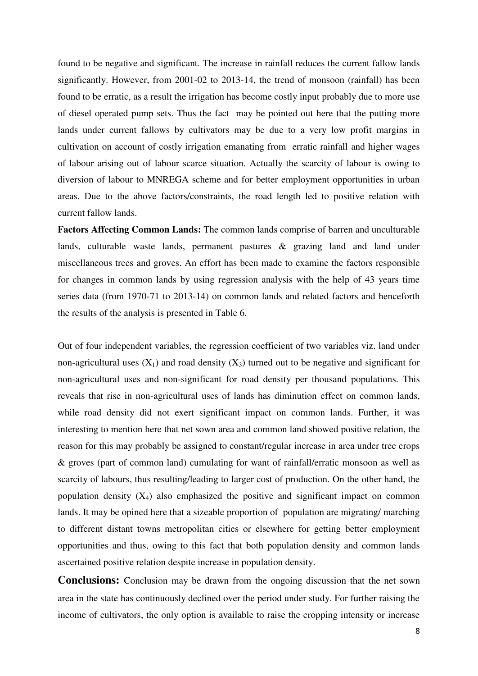found to be negative and significant. The increase in rainfall reduces the current fallow lands significantly. However, from 2001-02 to 2013-14, the trend of monsoon (rainfall) has been found to be erratic, as a result the irrigation has become costly input probably due to more use of diesel operated pump sets. Thus the fact may be pointed out here that the putting more lands under current fallows by cultivators may be due to a very low profit margins in cultivation on account of costly irrigation emanating from erratic rainfall and higher wages of labour arising out of labour scarce situation. Actually the scarcity of labour is owing to diversion of labour to MNREGA scheme and for better employment opportunities in urban areas. Due to the above factors/constraints, the road length led to positive relation with current fallow lands.

**Factors Affecting Common Lands:** The common lands comprise of barren and unculturable lands, culturable waste lands, permanent pastures & grazing land and land under miscellaneous trees and groves. An effort has been made to examine the factors responsible for changes in common lands by using regression analysis with the help of 43 years time series data (from 1970-71 to 2013-14) on common lands and related factors and henceforth the results of the analysis is presented in Table 6.

Out of four independent variables, the regression coefficient of two variables viz. land under non-agricultural uses  $(X_1)$  and road density  $(X_3)$  turned out to be negative and significant for non-agricultural uses and non-significant for road density per thousand populations. This reveals that rise in non-agricultural uses of lands has diminution effect on common lands, while road density did not exert significant impact on common lands. Further, it was interesting to mention here that net sown area and common land showed positive relation, the reason for this may probably be assigned to constant/regular increase in area under tree crops & groves (part of common land) cumulating for want of rainfall/erratic monsoon as well as scarcity of labours, thus resulting/leading to larger cost of production. On the other hand, the population density  $(X_4)$  also emphasized the positive and significant impact on common lands. It may be opined here that a sizeable proportion of population are migrating/ marching to different distant towns metropolitan cities or elsewhere for getting better employment opportunities and thus, owing to this fact that both population density and common lands ascertained positive relation despite increase in population density.

**Conclusions:** Conclusion may be drawn from the ongoing discussion that the net sown area in the state has continuously declined over the period under study. For further raising the income of cultivators, the only option is available to raise the cropping intensity or increase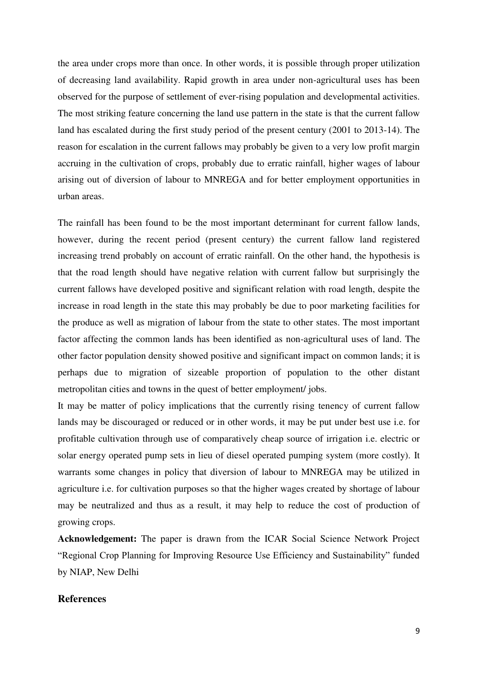the area under crops more than once. In other words, it is possible through proper utilization of decreasing land availability. Rapid growth in area under non-agricultural uses has been observed for the purpose of settlement of ever-rising population and developmental activities. The most striking feature concerning the land use pattern in the state is that the current fallow land has escalated during the first study period of the present century (2001 to 2013-14). The reason for escalation in the current fallows may probably be given to a very low profit margin accruing in the cultivation of crops, probably due to erratic rainfall, higher wages of labour arising out of diversion of labour to MNREGA and for better employment opportunities in urban areas.

The rainfall has been found to be the most important determinant for current fallow lands, however, during the recent period (present century) the current fallow land registered increasing trend probably on account of erratic rainfall. On the other hand, the hypothesis is that the road length should have negative relation with current fallow but surprisingly the current fallows have developed positive and significant relation with road length, despite the increase in road length in the state this may probably be due to poor marketing facilities for the produce as well as migration of labour from the state to other states. The most important factor affecting the common lands has been identified as non-agricultural uses of land. The other factor population density showed positive and significant impact on common lands; it is perhaps due to migration of sizeable proportion of population to the other distant metropolitan cities and towns in the quest of better employment/ jobs.

It may be matter of policy implications that the currently rising tenency of current fallow lands may be discouraged or reduced or in other words, it may be put under best use i.e. for profitable cultivation through use of comparatively cheap source of irrigation i.e. electric or solar energy operated pump sets in lieu of diesel operated pumping system (more costly). It warrants some changes in policy that diversion of labour to MNREGA may be utilized in agriculture i.e. for cultivation purposes so that the higher wages created by shortage of labour may be neutralized and thus as a result, it may help to reduce the cost of production of growing crops.

**Acknowledgement:** The paper is drawn from the ICAR Social Science Network Project "Regional Crop Planning for Improving Resource Use Efficiency and Sustainability" funded by NIAP, New Delhi

#### **References**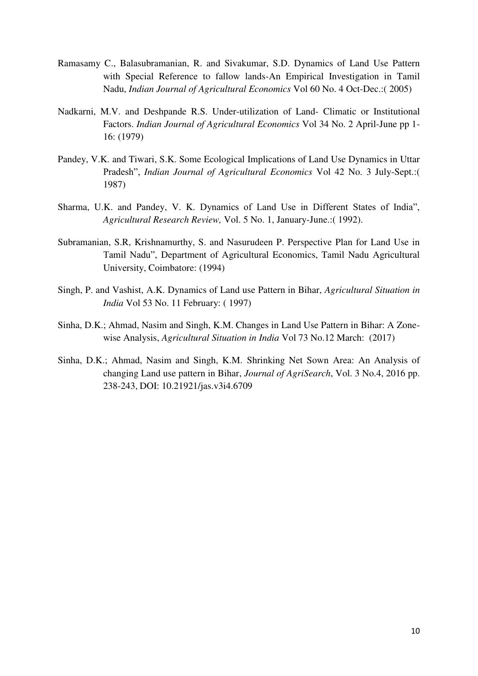- Ramasamy C., Balasubramanian, R. and Sivakumar, S.D. Dynamics of Land Use Pattern with Special Reference to fallow lands-An Empirical Investigation in Tamil Nadu, *Indian Journal of Agricultural Economics* Vol 60 No. 4 Oct-Dec.:( 2005)
- Nadkarni, M.V. and Deshpande R.S. Under-utilization of Land- Climatic or Institutional Factors. *Indian Journal of Agricultural Economics* Vol 34 No. 2 April-June pp 1- 16: (1979)
- Pandey, V.K. and Tiwari, S.K. Some Ecological Implications of Land Use Dynamics in Uttar Pradesh", *Indian Journal of Agricultural Economics* Vol 42 No. 3 July-Sept.:( 1987)
- Sharma, U.K. and Pandey, V. K. Dynamics of Land Use in Different States of India", *Agricultural Research Review,* Vol. 5 No. 1, January-June.:( 1992).
- Subramanian, S.R, Krishnamurthy, S. and Nasurudeen P. Perspective Plan for Land Use in Tamil Nadu", Department of Agricultural Economics, Tamil Nadu Agricultural University, Coimbatore: (1994)
- Singh, P. and Vashist, A.K. Dynamics of Land use Pattern in Bihar, *Agricultural Situation in India* Vol 53 No. 11 February: ( 1997)
- Sinha, D.K.; Ahmad, Nasim and Singh, K.M. Changes in Land Use Pattern in Bihar: A Zonewise Analysis, *Agricultural Situation in India* Vol 73 No.12 March: (2017)
- Sinha, D.K.; Ahmad, Nasim and Singh, K.M. Shrinking Net Sown Area: An Analysis of changing Land use pattern in Bihar, *Journal of AgriSearch*, Vol. 3 No.4, 2016 pp. 238-243, DOI: 10.21921/jas.v3i4.6709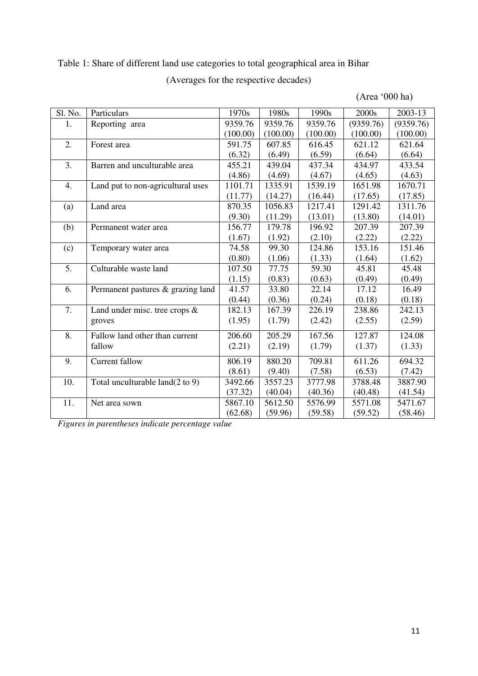#### Table 1: Share of different land use categories to total geographical area in Bihar

#### (Averages for the respective decades)

(0.44)

182.13 (1.95)

206.60 (2.21)

(8.61)

(37.32)

(62.68)

| Sl. No. | Particulars                       | 1970s    | 1980s    | 1990s    | 2000s     | 2003-13   |
|---------|-----------------------------------|----------|----------|----------|-----------|-----------|
| 1.      | Reporting area                    | 9359.76  | 9359.76  | 9359.76  | (9359.76) | (9359.76) |
|         |                                   | (100.00) | (100.00) | (100.00) | (100.00)  | (100.00)  |
| 2.      | Forest area                       | 591.75   | 607.85   | 616.45   | 621.12    | 621.64    |
|         |                                   | (6.32)   | (6.49)   | (6.59)   | (6.64)    | (6.64)    |
| 3.      | Barren and unculturable area      | 455.21   | 439.04   | 437.34   | 434.97    | 433.54    |
|         |                                   | (4.86)   | (4.69)   | (4.67)   | (4.65)    | (4.63)    |
| 4.      | Land put to non-agricultural uses | 1101.71  | 1335.91  | 1539.19  | 1651.98   | 1670.71   |
|         |                                   | (11.77)  | (14.27)  | (16.44)  | (17.65)   | (17.85)   |
| (a)     | Land area                         | 870.35   | 1056.83  | 1217.41  | 1291.42   | 1311.76   |
|         |                                   | (9.30)   | (11.29)  | (13.01)  | (13.80)   | (14.01)   |
| (b)     | Permanent water area              | 156.77   | 179.78   | 196.92   | 207.39    | 207.39    |
|         |                                   | (1.67)   | (1.92)   | (2.10)   | (2.22)    | (2.22)    |
| (c)     | Temporary water area              | 74.58    | 99.30    | 124.86   | 153.16    | 151.46    |
|         |                                   | (0.80)   | (1.06)   | (1.33)   | (1.64)    | (1.62)    |
| 5.      | Culturable waste land             | 107.50   | 77.75    | 59.30    | 45.81     | 45.48     |
|         |                                   | (1.15)   | (0.83)   | (0.63)   | (0.49)    | (0.49)    |
| 6.      | Permanent pastures & grazing land | 41.57    | 33.80    | 22.14    | 17.12     | 16.49     |
|         |                                   |          |          |          |           |           |

(0.36)

167.39 (1.79)

205.29 (2.19)

880.20 (9.40)

3557.23 (40.04)

5612.50 (59.96)

(0.24)

226.19 (2.42)

167.56 (1.79)

709.81 (7.58)

3777.98 (40.36)

5576.99 (59.58)

(0.18)

238.86  $(2.55)$ 

127.87 (1.37)

611.26 (6.53)

3788.48 (40.48)

5571.08  $(59.52)$ 

(0.18)

242.13  $(2.59)$ 

124.08 (1.33)

694.32 (7.42)

3887.90 (41.54)

5471.67 (58.46)

(Area '000 ha)

*Figures in parentheses indicate percentage value* 

9. Current fallow 806.19

10. Total unculturable land(2 to 9) 3492.66

11. Net area sown 5867.10

7. Land under misc. tree crops &

8. Fallow land other than current

groves

fallow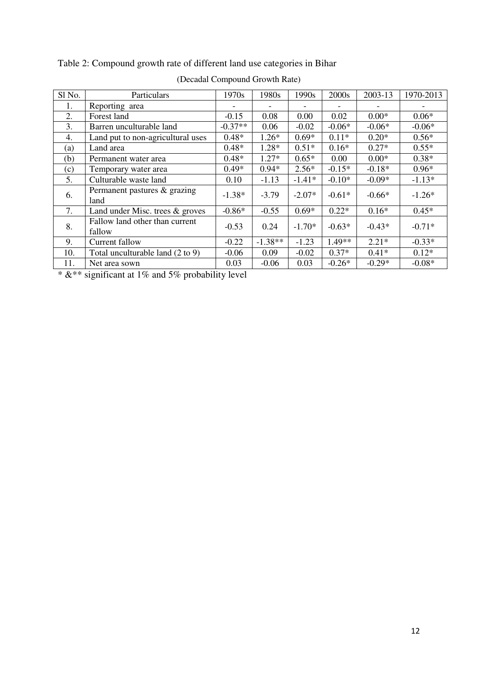| (Decadal Compound Growth Rate) |                                          |           |           |          |                          |          |           |  |
|--------------------------------|------------------------------------------|-----------|-----------|----------|--------------------------|----------|-----------|--|
| Sl No.                         | Particulars                              | 1970s     | 1980s     | 1990s    | 2000s                    | 2003-13  | 1970-2013 |  |
| 1.                             | Reporting area                           |           |           |          | $\overline{\phantom{0}}$ |          |           |  |
| 2.                             | Forest land                              | $-0.15$   | 0.08      | 0.00     | 0.02                     | $0.00*$  | $0.06*$   |  |
| 3.                             | Barren unculturable land                 | $-0.37**$ | 0.06      | $-0.02$  | $-0.06*$                 | $-0.06*$ | $-0.06*$  |  |
| 4.                             | Land put to non-agricultural uses        | $0.48*$   | $1.26*$   | $0.69*$  | $0.11*$                  | $0.20*$  | $0.56*$   |  |
| (a)                            | Land area                                | $0.48*$   | $1.28*$   | $0.51*$  | $0.16*$                  | $0.27*$  | $0.55*$   |  |
| (b)                            | Permanent water area                     | $0.48*$   | $1.27*$   | $0.65*$  | 0.00                     | $0.00*$  | $0.38*$   |  |
| (c)                            | Temporary water area                     | $0.49*$   | $0.94*$   | $2.56*$  | $-0.15*$                 | $-0.18*$ | $0.96*$   |  |
| 5.                             | Culturable waste land                    | 0.10      | $-1.13$   | $-1.41*$ | $-0.10*$                 | $-0.09*$ | $-1.13*$  |  |
| 6.                             | Permanent pastures & grazing<br>land     | $-1.38*$  | $-3.79$   | $-2.07*$ | $-0.61*$                 | $-0.66*$ | $-1.26*$  |  |
| 7.                             | Land under Misc. trees $\&$ groves       | $-0.86*$  | $-0.55$   | $0.69*$  | $0.22*$                  | $0.16*$  | $0.45*$   |  |
| 8.                             | Fallow land other than current<br>fallow | $-0.53$   | 0.24      | $-1.70*$ | $-0.63*$                 | $-0.43*$ | $-0.71*$  |  |
| 9.                             | Current fallow                           | $-0.22$   | $-1.38**$ | $-1.23$  | 1.49**                   | $2.21*$  | $-0.33*$  |  |
| 10.                            | Total unculturable land (2 to 9)         | $-0.06$   | 0.09      | $-0.02$  | $0.37*$                  | $0.41*$  | $0.12*$   |  |
| 11.                            | Net area sown                            | 0.03      | $-0.06$   | 0.03     | $-0.26*$                 | $-0.29*$ | $-0.08*$  |  |

Table 2: Compound growth rate of different land use categories in Bihar

\*  $&$ \*\* significant at 1% and 5% probability level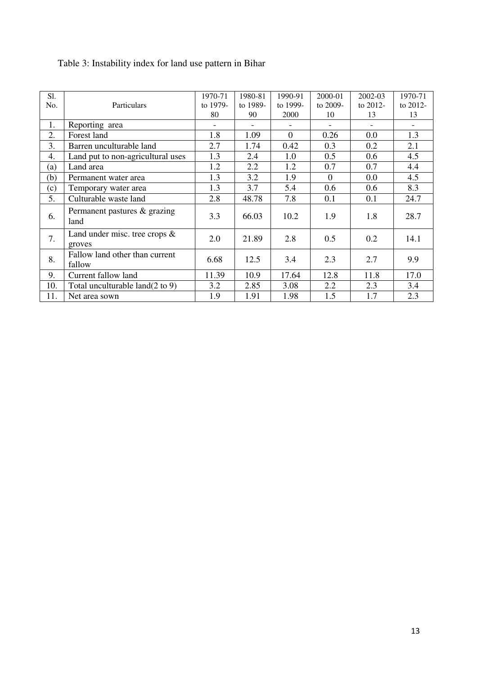| S1. |                                            | 1970-71  | 1980-81  | 1990-91  | 2000-01  | 2002-03     | 1970-71     |
|-----|--------------------------------------------|----------|----------|----------|----------|-------------|-------------|
| No. | Particulars                                | to 1979- | to 1989- | to 1999- | to 2009- | to $2012$ - | to $2012$ - |
|     |                                            | 80       | 90       | 2000     | 10       | 13          | 13          |
| 1.  | Reporting area                             |          |          |          |          |             |             |
| 2.  | Forest land                                | 1.8      | 1.09     | $\Omega$ | 0.26     | 0.0         | 1.3         |
| 3.  | Barren unculturable land                   | 2.7      | 1.74     | 0.42     | 0.3      | 0.2         | 2.1         |
| 4.  | Land put to non-agricultural uses          | 1.3      | 2.4      | 1.0      | 0.5      | 0.6         | 4.5         |
| (a) | Land area                                  | 1.2      | 2.2      | 1.2      | 0.7      | 0.7         | 4.4         |
| (b) | Permanent water area                       | 1.3      | 3.2      | 1.9      | $\Omega$ | $0.0\,$     | 4.5         |
| (c) | Temporary water area                       | 1.3      | 3.7      | 5.4      | 0.6      | 0.6         | 8.3         |
| 5.  | Culturable waste land                      | 2.8      | 48.78    | 7.8      | 0.1      | 0.1         | 24.7        |
| 6.  | Permanent pastures & grazing<br>land       | 3.3      | 66.03    | 10.2     | 1.9      | 1.8         | 28.7        |
| 7.  | Land under misc. tree crops $\&$<br>groves | 2.0      | 21.89    | 2.8      | 0.5      | 0.2         | 14.1        |
| 8.  | Fallow land other than current<br>fallow   | 6.68     | 12.5     | 3.4      | 2.3      | 2.7         | 9.9         |
| 9.  | Current fallow land                        | 11.39    | 10.9     | 17.64    | 12.8     | 11.8        | 17.0        |
| 10. | Total unculturable $land(2 to 9)$          | 3.2      | 2.85     | 3.08     | 2.2      | 2.3         | 3.4         |
| 11. | Net area sown                              | 1.9      | 1.91     | 1.98     | 1.5      | 1.7         | 2.3         |

### Table 3: Instability index for land use pattern in Bihar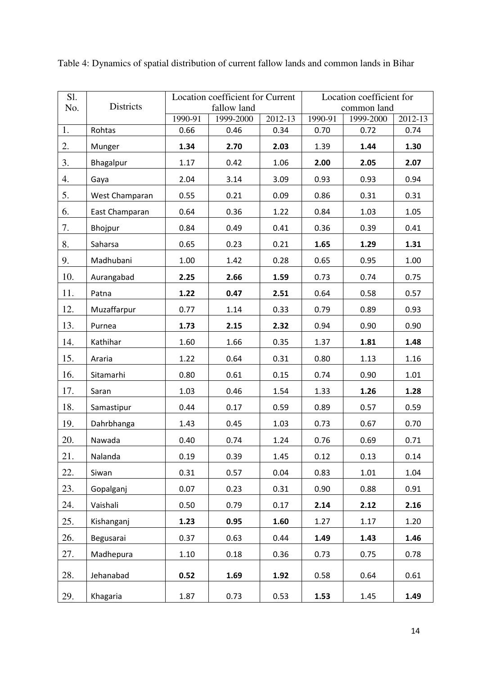| Sl. |                | Location coefficient for Current |                          |         | Location coefficient for |                          |         |  |
|-----|----------------|----------------------------------|--------------------------|---------|--------------------------|--------------------------|---------|--|
| No. | Districts      | 1990-91                          | fallow land<br>1999-2000 | 2012-13 | 1990-91                  | common land<br>1999-2000 | 2012-13 |  |
| 1.  | Rohtas         | 0.66                             | 0.46                     | 0.34    | 0.70                     | 0.72                     | 0.74    |  |
| 2.  | Munger         | 1.34                             | 2.70                     | 2.03    | 1.39                     | 1.44                     | 1.30    |  |
| 3.  | Bhagalpur      | 1.17                             | 0.42                     | 1.06    | 2.00                     | 2.05                     | 2.07    |  |
| 4.  | Gaya           | 2.04                             | 3.14                     | 3.09    | 0.93                     | 0.93                     | 0.94    |  |
| 5.  | West Champaran | 0.55                             | 0.21                     | 0.09    | 0.86                     | 0.31                     | 0.31    |  |
| 6.  | East Champaran | 0.64                             | 0.36                     | 1.22    | 0.84                     | 1.03                     | 1.05    |  |
| 7.  | Bhojpur        | 0.84                             | 0.49                     | 0.41    | 0.36                     | 0.39                     | 0.41    |  |
| 8.  | Saharsa        | 0.65                             | 0.23                     | 0.21    | 1.65                     | 1.29                     | 1.31    |  |
| 9.  | Madhubani      | 1.00                             | 1.42                     | 0.28    | 0.65                     | 0.95                     | 1.00    |  |
| 10. | Aurangabad     | 2.25                             | 2.66                     | 1.59    | 0.73                     | 0.74                     | 0.75    |  |
| 11. | Patna          | 1.22                             | 0.47                     | 2.51    | 0.64                     | 0.58                     | 0.57    |  |
| 12. | Muzaffarpur    | 0.77                             | 1.14                     | 0.33    | 0.79                     | 0.89                     | 0.93    |  |
| 13. | Purnea         | 1.73                             | 2.15                     | 2.32    | 0.94                     | 0.90                     | 0.90    |  |
| 14. | Kathihar       | 1.60                             | 1.66                     | 0.35    | 1.37                     | 1.81                     | 1.48    |  |
| 15. | Araria         | 1.22                             | 0.64                     | 0.31    | 0.80                     | 1.13                     | 1.16    |  |
| 16. | Sitamarhi      | 0.80                             | 0.61                     | 0.15    | 0.74                     | 0.90                     | 1.01    |  |
| 17. | Saran          | 1.03                             | 0.46                     | 1.54    | 1.33                     | 1.26                     | 1.28    |  |
| 18. | Samastipur     | 0.44                             | 0.17                     | 0.59    | 0.89                     | 0.57                     | 0.59    |  |
| 19. | Dahrbhanga     | 1.43                             | 0.45                     | 1.03    | 0.73                     | 0.67                     | 0.70    |  |
| 20. | Nawada         | 0.40                             | 0.74                     | 1.24    | 0.76                     | 0.69                     | 0.71    |  |
| 21. | Nalanda        | 0.19                             | 0.39                     | 1.45    | 0.12                     | 0.13                     | 0.14    |  |
| 22. | Siwan          | 0.31                             | 0.57                     | 0.04    | 0.83                     | 1.01                     | 1.04    |  |
| 23. | Gopalganj      | 0.07                             | 0.23                     | 0.31    | 0.90                     | 0.88                     | 0.91    |  |
| 24. | Vaishali       | 0.50                             | 0.79                     | 0.17    | 2.14                     | 2.12                     | 2.16    |  |
| 25. | Kishanganj     | 1.23                             | 0.95                     | 1.60    | 1.27                     | 1.17                     | 1.20    |  |
| 26. | Begusarai      | 0.37                             | 0.63                     | 0.44    | 1.49                     | 1.43                     | 1.46    |  |
| 27. | Madhepura      | 1.10                             | 0.18                     | 0.36    | 0.73                     | 0.75                     | 0.78    |  |
| 28. | Jehanabad      | 0.52                             | 1.69                     | 1.92    | 0.58                     | 0.64                     | 0.61    |  |
| 29. | Khagaria       | 1.87                             | 0.73                     | 0.53    | 1.53                     | 1.45                     | 1.49    |  |

Table 4: Dynamics of spatial distribution of current fallow lands and common lands in Bihar